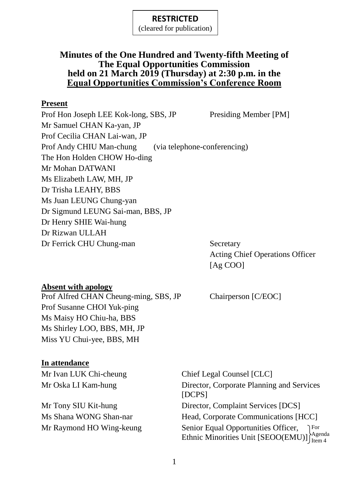(cleared for publication)

# **Minutes of the One Hundred and Twenty-fifth Meeting of The Equal Opportunities Commission held on 21 March 2019 (Thursday) at 2:30 p.m. in the Equal Opportunities Commission's Conference Room**

#### **Present**

Prof Hon Joseph LEE Kok-long, SBS, JP Presiding Member [PM] Mr Samuel CHAN Ka-yan, JP Prof Cecilia CHAN Lai-wan, JP Prof Andy CHIU Man-chung (via telephone-conferencing) The Hon Holden CHOW Ho-ding Mr Mohan DATWANI Ms Elizabeth LAW, MH, JP Dr Trisha LEAHY, BBS Ms Juan LEUNG Chung-yan Dr Sigmund LEUNG Sai-man, BBS, JP Dr Henry SHIE Wai-hung Dr Rizwan ULLAH Dr Ferrick CHU Chung-man Secretary

Acting Chief Operations Officer [Ag COO]

## **Absent with apology**

Prof Alfred CHAN Cheung-ming, SBS, JP Chairperson [C/EOC] Prof Susanne CHOI Yuk-ping Ms Maisy HO Chiu-ha, BBS Ms Shirley LOO, BBS, MH, JP Miss YU Chui-yee, BBS, MH

## **In attendance**

Mr Ivan LUK Chi-cheung Chief Legal Counsel [CLC]

Mr Oska LI Kam-hung Director, Corporate Planning and Services [DCPS] Mr Tony SIU Kit-hung Director, Complaint Services [DCS] Ms Shana WONG Shan-nar Head, Corporate Communications [HCC] Mr Raymond HO Wing-keung Senior Equal Opportunities Officer, Ethnic Minorities Unit [SEOO(EMU)]  $\Big\}^{\text{Agenda}}_{\text{Item }A}$ For Item 4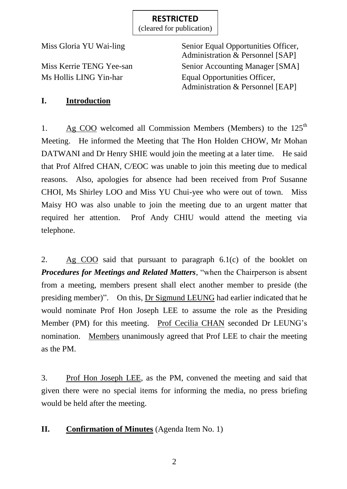(cleared for publication)

Miss Gloria YU Wai-ling Senior Equal Opportunities Officer, Administration & Personnel [SAP] Miss Kerrie TENG Yee-san Senior Accounting Manager [SMA] Ms Hollis LING Yin-har Equal Opportunities Officer, Administration & Personnel [EAP]

# **I. Introduction**

1. Ag COO welcomed all Commission Members (Members) to the  $125<sup>th</sup>$ Meeting. He informed the Meeting that The Hon Holden CHOW, Mr Mohan DATWANI and Dr Henry SHIE would join the meeting at a later time. He said that Prof Alfred CHAN, C/EOC was unable to join this meeting due to medical reasons. Also, apologies for absence had been received from Prof Susanne CHOI, Ms Shirley LOO and Miss YU Chui-yee who were out of town. Miss Maisy HO was also unable to join the meeting due to an urgent matter that required her attention. Prof Andy CHIU would attend the meeting via telephone.

2. Ag COO said that pursuant to paragraph 6.1(c) of the booklet on *Procedures for Meetings and Related Matters*, "when the Chairperson is absent from a meeting, members present shall elect another member to preside (the presiding member)". On this, Dr Sigmund LEUNG had earlier indicated that he would nominate Prof Hon Joseph LEE to assume the role as the Presiding Member (PM) for this meeting. Prof Cecilia CHAN seconded Dr LEUNG's nomination. Members unanimously agreed that Prof LEE to chair the meeting as the PM.

3. Prof Hon Joseph LEE, as the PM, convened the meeting and said that given there were no special items for informing the media, no press briefing would be held after the meeting.

# **II. Confirmation of Minutes** (Agenda Item No. 1)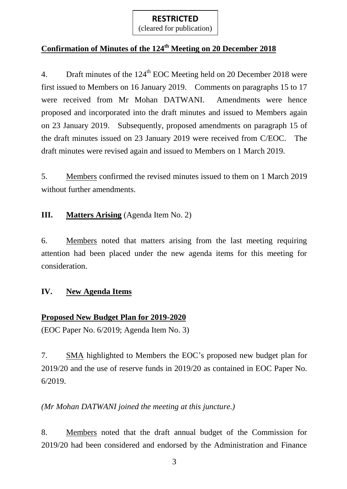(cleared for publication)

# **Confirmation of Minutes of the 124 th Meeting on 20 December 2018**

4. Draft minutes of the  $124<sup>th</sup>$  EOC Meeting held on 20 December 2018 were first issued to Members on 16 January 2019. Comments on paragraphs 15 to 17 were received from Mr Mohan DATWANI. Amendments were hence proposed and incorporated into the draft minutes and issued to Members again on 23 January 2019. Subsequently, proposed amendments on paragraph 15 of the draft minutes issued on 23 January 2019 were received from C/EOC. The draft minutes were revised again and issued to Members on 1 March 2019.

5. Members confirmed the revised minutes issued to them on 1 March 2019 without further amendments.

# **III. Matters Arising** (Agenda Item No. 2)

6. Members noted that matters arising from the last meeting requiring attention had been placed under the new agenda items for this meeting for consideration.

### **IV. New Agenda Items**

## **Proposed New Budget Plan for 2019-2020**

(EOC Paper No. 6/2019; Agenda Item No. 3)

7. SMA highlighted to Members the EOC's proposed new budget plan for 2019/20 and the use of reserve funds in 2019/20 as contained in EOC Paper No. 6/2019.

*(Mr Mohan DATWANI joined the meeting at this juncture.)*

8. Members noted that the draft annual budget of the Commission for 2019/20 had been considered and endorsed by the Administration and Finance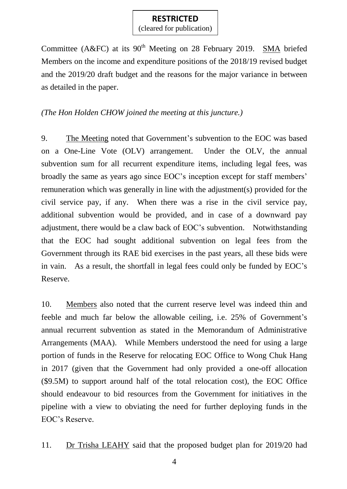(cleared for publication)

Committee (A&FC) at its  $90<sup>th</sup>$  Meeting on 28 February 2019. SMA briefed Members on the income and expenditure positions of the 2018/19 revised budget and the 2019/20 draft budget and the reasons for the major variance in between as detailed in the paper.

*(The Hon Holden CHOW joined the meeting at this juncture.)*

9. The Meeting noted that Government's subvention to the EOC was based on a One-Line Vote (OLV) arrangement. Under the OLV, the annual subvention sum for all recurrent expenditure items, including legal fees, was broadly the same as years ago since EOC's inception except for staff members' remuneration which was generally in line with the adjustment(s) provided for the civil service pay, if any. When there was a rise in the civil service pay, additional subvention would be provided, and in case of a downward pay adjustment, there would be a claw back of EOC's subvention. Notwithstanding that the EOC had sought additional subvention on legal fees from the Government through its RAE bid exercises in the past years, all these bids were in vain. As a result, the shortfall in legal fees could only be funded by EOC's Reserve.

10. Members also noted that the current reserve level was indeed thin and feeble and much far below the allowable ceiling, i.e. 25% of Government's annual recurrent subvention as stated in the Memorandum of Administrative Arrangements (MAA). While Members understood the need for using a large portion of funds in the Reserve for relocating EOC Office to Wong Chuk Hang in 2017 (given that the Government had only provided a one-off allocation (\$9.5M) to support around half of the total relocation cost), the EOC Office should endeavour to bid resources from the Government for initiatives in the pipeline with a view to obviating the need for further deploying funds in the EOC's Reserve.

11. Dr Trisha LEAHY said that the proposed budget plan for 2019/20 had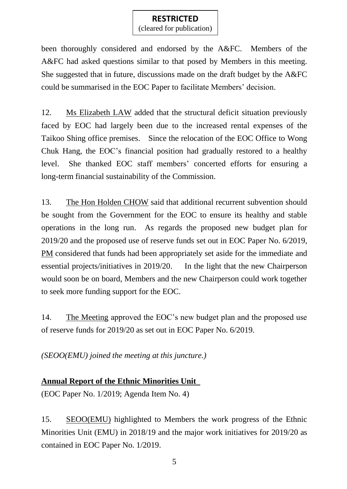(cleared for publication)

been thoroughly considered and endorsed by the A&FC. Members of the A&FC had asked questions similar to that posed by Members in this meeting. She suggested that in future, discussions made on the draft budget by the A&FC could be summarised in the EOC Paper to facilitate Members' decision.

12. Ms Elizabeth LAW added that the structural deficit situation previously faced by EOC had largely been due to the increased rental expenses of the Taikoo Shing office premises. Since the relocation of the EOC Office to Wong Chuk Hang, the EOC's financial position had gradually restored to a healthy level. She thanked EOC staff members' concerted efforts for ensuring a long-term financial sustainability of the Commission.

13. The Hon Holden CHOW said that additional recurrent subvention should be sought from the Government for the EOC to ensure its healthy and stable operations in the long run. As regards the proposed new budget plan for 2019/20 and the proposed use of reserve funds set out in EOC Paper No. 6/2019, PM considered that funds had been appropriately set aside for the immediate and essential projects/initiatives in 2019/20. In the light that the new Chairperson would soon be on board, Members and the new Chairperson could work together to seek more funding support for the EOC.

14. The Meeting approved the EOC's new budget plan and the proposed use of reserve funds for 2019/20 as set out in EOC Paper No. 6/2019.

*(SEOO(EMU) joined the meeting at this juncture.)*

# **Annual Report of the Ethnic Minorities Unit**

(EOC Paper No. 1/2019; Agenda Item No. 4)

15. SEOO(EMU) highlighted to Members the work progress of the Ethnic Minorities Unit (EMU) in 2018/19 and the major work initiatives for 2019/20 as contained in EOC Paper No. 1/2019.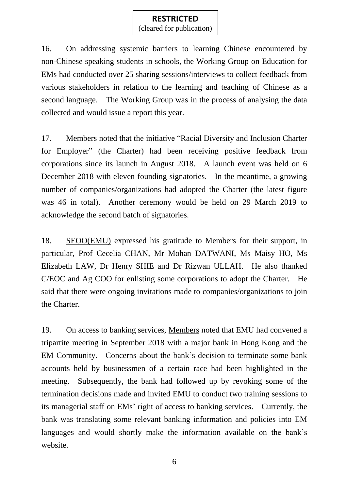(cleared for publication)

16. On addressing systemic barriers to learning Chinese encountered by non-Chinese speaking students in schools, the Working Group on Education for EMs had conducted over 25 sharing sessions/interviews to collect feedback from various stakeholders in relation to the learning and teaching of Chinese as a second language. The Working Group was in the process of analysing the data collected and would issue a report this year.

17. Members noted that the initiative "Racial Diversity and Inclusion Charter for Employer" (the Charter) had been receiving positive feedback from corporations since its launch in August 2018. A launch event was held on 6 December 2018 with eleven founding signatories. In the meantime, a growing number of companies/organizations had adopted the Charter (the latest figure was 46 in total). Another ceremony would be held on 29 March 2019 to acknowledge the second batch of signatories.

18. SEOO(EMU) expressed his gratitude to Members for their support, in particular, Prof Cecelia CHAN, Mr Mohan DATWANI, Ms Maisy HO, Ms Elizabeth LAW, Dr Henry SHIE and Dr Rizwan ULLAH. He also thanked C/EOC and Ag COO for enlisting some corporations to adopt the Charter. He said that there were ongoing invitations made to companies/organizations to join the Charter.

19. On access to banking services, Members noted that EMU had convened a tripartite meeting in September 2018 with a major bank in Hong Kong and the EM Community. Concerns about the bank's decision to terminate some bank accounts held by businessmen of a certain race had been highlighted in the meeting. Subsequently, the bank had followed up by revoking some of the termination decisions made and invited EMU to conduct two training sessions to its managerial staff on EMs' right of access to banking services. Currently, the bank was translating some relevant banking information and policies into EM languages and would shortly make the information available on the bank's website.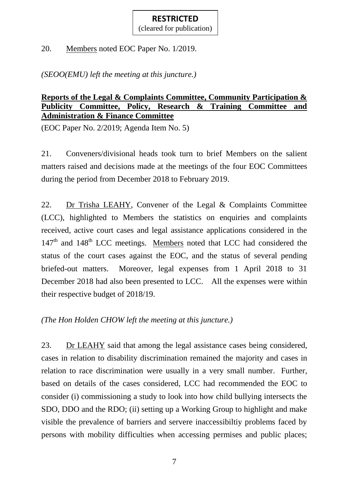(cleared for publication)

20. Members noted EOC Paper No. 1/2019.

*(SEOO(EMU) left the meeting at this juncture.)*

### **Reports of the Legal & Complaints Committee, Community Participation & Publicity Committee, Policy, Research & Training Committee and Administration & Finance Committee**

(EOC Paper No. 2/2019; Agenda Item No. 5)

21. Conveners/divisional heads took turn to brief Members on the salient matters raised and decisions made at the meetings of the four EOC Committees during the period from December 2018 to February 2019.

22. Dr Trisha LEAHY, Convener of the Legal & Complaints Committee (LCC), highlighted to Members the statistics on enquiries and complaints received, active court cases and legal assistance applications considered in the 147<sup>th</sup> and 148<sup>th</sup> LCC meetings. Members noted that LCC had considered the status of the court cases against the EOC, and the status of several pending briefed-out matters. Moreover, legal expenses from 1 April 2018 to 31 December 2018 had also been presented to LCC. All the expenses were within their respective budget of 2018/19.

*(The Hon Holden CHOW left the meeting at this juncture.)*

23. Dr LEAHY said that among the legal assistance cases being considered, cases in relation to disability discrimination remained the majority and cases in relation to race discrimination were usually in a very small number. Further, based on details of the cases considered, LCC had recommended the EOC to consider (i) commissioning a study to look into how child bullying intersects the SDO, DDO and the RDO; (ii) setting up a Working Group to highlight and make visible the prevalence of barriers and servere inaccessibiltiy problems faced by persons with mobility difficulties when accessing permises and public places;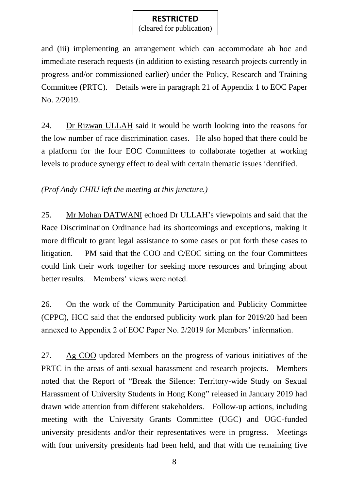(cleared for publication)

and (iii) implementing an arrangement which can accommodate ah hoc and immediate reserach requests (in addition to existing research projects currently in progress and/or commissioned earlier) under the Policy, Research and Training Committee (PRTC). Details were in paragraph 21 of Appendix 1 to EOC Paper No. 2/2019.

24. Dr Rizwan ULLAH said it would be worth looking into the reasons for the low number of race discrimination cases. He also hoped that there could be a platform for the four EOC Committees to collaborate together at working levels to produce synergy effect to deal with certain thematic issues identified.

*(Prof Andy CHIU left the meeting at this juncture.)*

25. Mr Mohan DATWANI echoed Dr ULLAH's viewpoints and said that the Race Discrimination Ordinance had its shortcomings and exceptions, making it more difficult to grant legal assistance to some cases or put forth these cases to litigation. PM said that the COO and C/EOC sitting on the four Committees could link their work together for seeking more resources and bringing about better results. Members' views were noted.

26. On the work of the Community Participation and Publicity Committee (CPPC), HCC said that the endorsed publicity work plan for 2019/20 had been annexed to Appendix 2 of EOC Paper No. 2/2019 for Members' information.

27. Ag COO updated Members on the progress of various initiatives of the PRTC in the areas of anti-sexual harassment and research projects. Members noted that the Report of "Break the Silence: Territory-wide Study on Sexual Harassment of University Students in Hong Kong" released in January 2019 had drawn wide attention from different stakeholders. Follow-up actions, including meeting with the University Grants Committee (UGC) and UGC-funded university presidents and/or their representatives were in progress. Meetings with four university presidents had been held, and that with the remaining five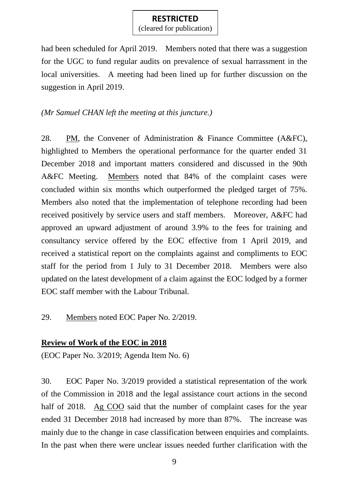(cleared for publication)

had been scheduled for April 2019. Members noted that there was a suggestion for the UGC to fund regular audits on prevalence of sexual harrassment in the local universities. A meeting had been lined up for further discussion on the suggestion in April 2019.

### *(Mr Samuel CHAN left the meeting at this juncture.)*

28. PM, the Convener of Administration & Finance Committee (A&FC), highlighted to Members the operational performance for the quarter ended 31 December 2018 and important matters considered and discussed in the 90th A&FC Meeting. Members noted that 84% of the complaint cases were concluded within six months which outperformed the pledged target of 75%. Members also noted that the implementation of telephone recording had been received positively by service users and staff members. Moreover, A&FC had approved an upward adjustment of around 3.9% to the fees for training and consultancy service offered by the EOC effective from 1 April 2019, and received a statistical report on the complaints against and compliments to EOC staff for the period from 1 July to 31 December 2018. Members were also updated on the latest development of a claim against the EOC lodged by a former EOC staff member with the Labour Tribunal.

29. Members noted EOC Paper No. 2/2019.

## **Review of Work of the EOC in 2018**

(EOC Paper No. 3/2019; Agenda Item No. 6)

30. EOC Paper No. 3/2019 provided a statistical representation of the work of the Commission in 2018 and the legal assistance court actions in the second half of 2018. Ag COO said that the number of complaint cases for the year ended 31 December 2018 had increased by more than 87%. The increase was mainly due to the change in case classification between enquiries and complaints. In the past when there were unclear issues needed further clarification with the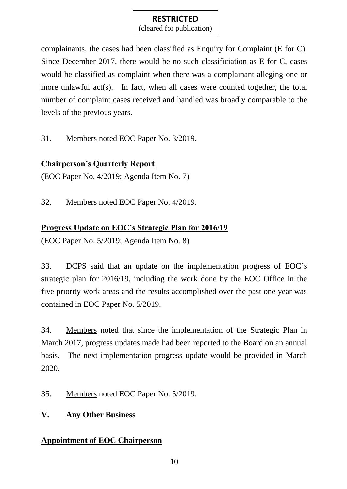(cleared for publication)

complainants, the cases had been classified as Enquiry for Complaint (E for C). Since December 2017, there would be no such classificiation as E for C, cases would be classified as complaint when there was a complainant alleging one or more unlawful act(s). In fact, when all cases were counted together, the total number of complaint cases received and handled was broadly comparable to the levels of the previous years.

31. Members noted EOC Paper No. 3/2019.

# **Chairperson's Quarterly Report**

(EOC Paper No. 4/2019; Agenda Item No. 7)

32. Members noted EOC Paper No. 4/2019.

# **Progress Update on EOC's Strategic Plan for 2016/19**

(EOC Paper No. 5/2019; Agenda Item No. 8)

33. DCPS said that an update on the implementation progress of EOC's strategic plan for 2016/19, including the work done by the EOC Office in the five priority work areas and the results accomplished over the past one year was contained in EOC Paper No. 5/2019.

34. Members noted that since the implementation of the Strategic Plan in March 2017, progress updates made had been reported to the Board on an annual basis. The next implementation progress update would be provided in March 2020.

35. Members noted EOC Paper No. 5/2019.

# **V. Any Other Business**

# **Appointment of EOC Chairperson**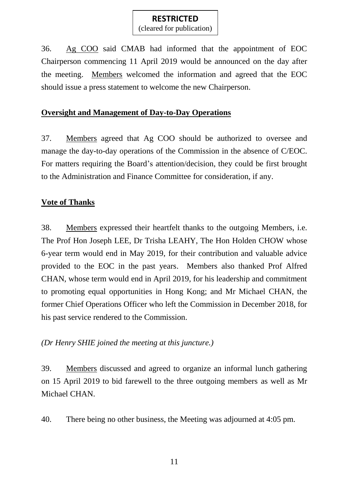(cleared for publication)

36. Ag COO said CMAB had informed that the appointment of EOC Chairperson commencing 11 April 2019 would be announced on the day after the meeting. Members welcomed the information and agreed that the EOC should issue a press statement to welcome the new Chairperson.

#### **Oversight and Management of Day-to-Day Operations**

37. Members agreed that Ag COO should be authorized to oversee and manage the day-to-day operations of the Commission in the absence of C/EOC. For matters requiring the Board's attention/decision, they could be first brought to the Administration and Finance Committee for consideration, if any.

#### **Vote of Thanks**

38. Members expressed their heartfelt thanks to the outgoing Members, i.e. The Prof Hon Joseph LEE, Dr Trisha LEAHY, The Hon Holden CHOW whose 6-year term would end in May 2019, for their contribution and valuable advice provided to the EOC in the past years. Members also thanked Prof Alfred CHAN, whose term would end in April 2019, for his leadership and commitment to promoting equal opportunities in Hong Kong; and Mr Michael CHAN, the former Chief Operations Officer who left the Commission in December 2018, for his past service rendered to the Commission.

*(Dr Henry SHIE joined the meeting at this juncture.)*

39. Members discussed and agreed to organize an informal lunch gathering on 15 April 2019 to bid farewell to the three outgoing members as well as Mr Michael CHAN.

40. There being no other business, the Meeting was adjourned at 4:05 pm.